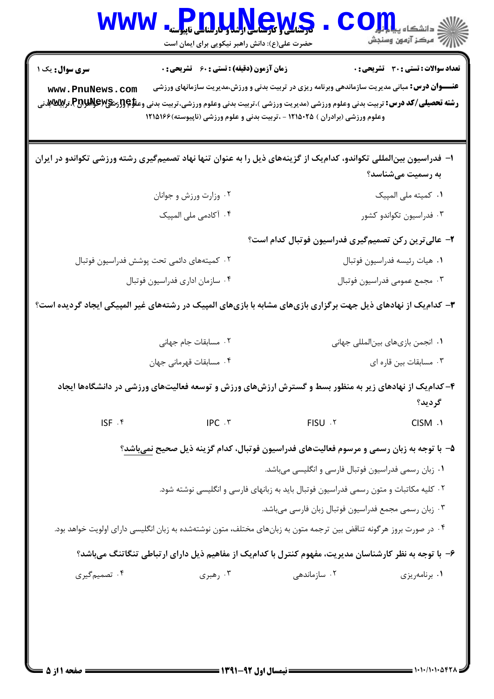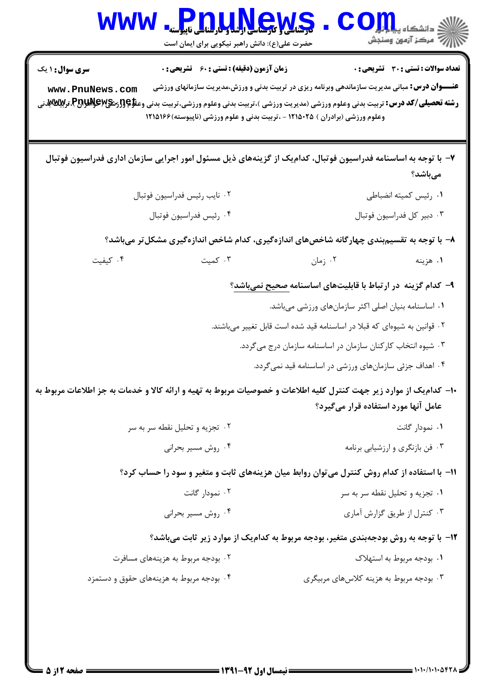| <b>WWW</b>             | <b>Pnuuktews</b><br>حضرت علی(ع): دانش راهبر نیکویی برای ایمان است                                                                                                                                                                                                                                                                 | $\bullet\bullet$                                                        | ان دانشگاه پیام <del>آوار</del><br>ا∰ مرکز آزمهن وسنجش |
|------------------------|-----------------------------------------------------------------------------------------------------------------------------------------------------------------------------------------------------------------------------------------------------------------------------------------------------------------------------------|-------------------------------------------------------------------------|--------------------------------------------------------|
| <b>سری سوال : ۱ یک</b> | <b>زمان آزمون (دقیقه) : تستی : 60 ٪ تشریحی : 0</b>                                                                                                                                                                                                                                                                                |                                                                         | <b>تعداد سوالات : تستی : 30 ٪ تشریحی : 0</b>           |
| www.PnuNews.com        | <b>عنــــوان درس:</b> مبانی مدیریت سازماندهی وبرنامه ریزی در تربیت بدنی و ورزش،مدیریت سازمانهای ورزشی<br><b>رشته تحصیلی/کد درس:</b> تربیت بدنی وعلوم ورزشی (مدیریت ورزشی )،تربیت بدنی وعلوم ورزشی،تربیت بدنی وعلا؟{{زشگی\PA}،تر <b>بیللابلا</b> نی<br>وعلوم ورزشی (برادران ) ۱۲۱۵۰۲۵ - ،تربیت بدنی و علوم ورزشی (ناپیوسته)۱۲۱۵۱۶۶ |                                                                         |                                                        |
|                        | ۷– با توجه به اساسنامه فدراسیون فوتبال، کدامیک از گزینههای ذیل مسئول امور اجرایی سازمان اداری فدراسیون فوتبال                                                                                                                                                                                                                     |                                                                         | مىباشد؟                                                |
|                        | ٠٢ نايب رئيس فدراسيون فوتبال                                                                                                                                                                                                                                                                                                      |                                                                         | ۰۱ رئیس کمیته انضباطی                                  |
|                        | ٠٣ دبير كل فدراسيون فوتبال<br>۰۴ رئيس فدراسيون فوتبال                                                                                                                                                                                                                                                                             |                                                                         |                                                        |
|                        | ۸– با توجه به تقسیم,بندی چهارگانه شاخصهای اندازهگیری، کدام شاخص اندازهگیری مشکلتر میباشد؟                                                                                                                                                                                                                                         |                                                                         |                                                        |
| ۰۴ کیفیت               | ۰۳ کمیت                                                                                                                                                                                                                                                                                                                           | ۰۲ زمان                                                                 | ۰۱ هزينه                                               |
|                        |                                                                                                                                                                                                                                                                                                                                   | ۹– کدام گزینه در ارتباط با قابلیتهای اساسنامه <u>صحیح نمیباشد</u> ؟     |                                                        |
|                        |                                                                                                                                                                                                                                                                                                                                   | ۰۱ اساسنامه بنیان اصلی اکثر سازمانهای ورزشی میباشد.                     |                                                        |
|                        |                                                                                                                                                                                                                                                                                                                                   | ۰۲ قوانین به شیوهای که قبلا در اساسنامه قید شده است قابل تغییر میباشند. |                                                        |
|                        |                                                                                                                                                                                                                                                                                                                                   | ۰۳ شیوه انتخاب کارکنان سازمان در اساسنامه سازمان درج میگردد.            |                                                        |
|                        |                                                                                                                                                                                                                                                                                                                                   | ۰۴ اهداف جزئی سازمانهای ورزشی در اساسنامه قید نمیگردد.                  |                                                        |
|                        | ∙ا− کدام یک از موارد زیر جهت کنترل کلیه اطلاعات و خصوصیات مربوط به تهیه و ارائه کالا و خدمات به جز اطلاعات مربوط به                                                                                                                                                                                                               |                                                                         | عامل آنها مورد استفاده قرار میگیرد؟                    |
|                        | ۰۲ تجزیه و تحلیل نقطه سر به سر                                                                                                                                                                                                                                                                                                    |                                                                         | ۰۱ نمودار گانت                                         |
|                        | ۰۴ روش مسیر بحرانی                                                                                                                                                                                                                                                                                                                |                                                                         | ۰۳ فن بازنگری و ارزشیابی برنامه                        |
|                        | 11- با استفاده از کدام روش کنترل می توان روابط میان هزینههای ثابت و متغیر و سود را حساب کرد؟                                                                                                                                                                                                                                      |                                                                         |                                                        |
|                        | ۰۲ نمودار گانت                                                                                                                                                                                                                                                                                                                    |                                                                         | ۰۱ تجزیه و تحلیل نقطه سر به سر                         |
|                        | ۰۴ روش مسیر بحرانی                                                                                                                                                                                                                                                                                                                |                                                                         | ۰۳ کنترل از طریق گزارش آماری                           |
|                        | ۱۲- با توجه به روش بودجهبندی متغیر، بودجه مربوط به کدامیک از موارد زیر ثابت میباشد؟                                                                                                                                                                                                                                               |                                                                         |                                                        |
|                        | ۰۲ بودجه مربوط به هزینههای مسافرت                                                                                                                                                                                                                                                                                                 |                                                                         | ۰۱ بودجه مربوط به استهلاک                              |
|                        | ۰۴ بودجه مربوط به هزینههای حقوق و دستمزد                                                                                                                                                                                                                                                                                          | ۰۳ بودجه مربوط به هزینه کلاسهای مربیگری                                 |                                                        |
|                        |                                                                                                                                                                                                                                                                                                                                   |                                                                         |                                                        |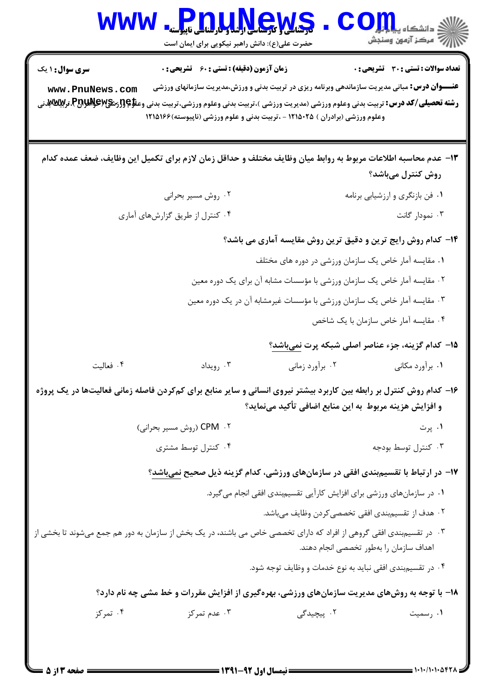| <b>WWW</b>                                                                                                                                                                    | كى كىلى ئورىنا كى كىلى بارلى كىلى ئاپپوستە<br>حضرت علی(ع): دانش راهبر نیکویی برای ایمان است                                                                                           |                                                                          | دانشکاه پ <b>یایا بار</b><br>أأزأته مركز آزمون وسنجش     |  |
|-------------------------------------------------------------------------------------------------------------------------------------------------------------------------------|---------------------------------------------------------------------------------------------------------------------------------------------------------------------------------------|--------------------------------------------------------------------------|----------------------------------------------------------|--|
| <b>سری سوال : ۱ یک</b>                                                                                                                                                        | زمان آزمون (دقیقه) : تستی : 60 ٪ تشریحی : 0                                                                                                                                           |                                                                          | تعداد سوالات : تستي : 30 - تشريحي : 0                    |  |
| www.PnuNews.com<br><b>رشته تحصیلی/کد درس:</b> تربیت بدنی وعلوم ورزشی (مدیریت ورزشی )،تربیت بدنی وعلوم ورزشی،تربیت بدنی وعلا؟{{;شگا}اللابمع اللهال؟}،تر <b>بین تلفظه</b>       | <b>عنــــوان درس:</b> مبانی مدیریت سازماندهی وبرنامه ریزی در تربیت بدنی و ورزش،مدیریت سازمانهای ورزشی<br>وعلوم ورزشی (برادران ) ۱۲۱۵۰۲۵ - ،تربیت بدنی و علوم ورزشی (ناپیوسته) ۱۲۱۵۱۶۶ |                                                                          |                                                          |  |
| ۱۳– عدم محاسبه اطلاعات مربوط به روابط ميان وظايف مختلف و حداقل زمان لازم براى تكميل اين وظايف، ضعف عمده كدام                                                                  |                                                                                                                                                                                       |                                                                          | روش کنترل میباشد؟                                        |  |
|                                                                                                                                                                               | ۰۲ روش مسیر بحرانی                                                                                                                                                                    |                                                                          | ۰۱ فن بازنگری و ارزشیابی برنامه                          |  |
|                                                                                                                                                                               | ۰۴ کنترل از طریق گزارشهای آماری                                                                                                                                                       |                                                                          | ۰۳ نمودار گانت                                           |  |
| ۱۴- کدام روش رایج ترین و دقیق ترین روش مقایسه آماری می باشد؟                                                                                                                  |                                                                                                                                                                                       |                                                                          |                                                          |  |
|                                                                                                                                                                               | ۰۱ مقایسه آمار خاص یک سازمان ورزشی در دوره های مختلف                                                                                                                                  |                                                                          |                                                          |  |
|                                                                                                                                                                               |                                                                                                                                                                                       | ۰۲ مقایسه آمار خاص یک سازمان ورزشی با مؤسسات مشابه آن برای یک دوره معین  |                                                          |  |
|                                                                                                                                                                               |                                                                                                                                                                                       | ۰۳ مقایسه آمار خاص یک سازمان ورزشی با مؤسسات غیرمشابه آن در یک دوره معین |                                                          |  |
|                                                                                                                                                                               |                                                                                                                                                                                       |                                                                          | ۰۴ مقایسه آمار خاص سازمان با یک شاخص                     |  |
|                                                                                                                                                                               |                                                                                                                                                                                       |                                                                          | ۱۵– کدام گزینه، جزء عناصر اصلی شبکه پرت <u>نمیباشد</u> ؟ |  |
| ۰۴ فعالیت                                                                                                                                                                     | ۰۳ رويداد                                                                                                                                                                             | ۰۲ برآورد زمانی                                                          | ۰۱ برآورد مکانی                                          |  |
| ۱۶- کدام روش کنترل بر رابطه بین کاربرد بیشتر نیروی انسانی و سایر منابع برای کمکردن فاصله زمانی فعالیتها در یک پروژه<br>و افزایش هزینه مربوط به این منابع اضافی تأکید مینماید؟ |                                                                                                                                                                                       |                                                                          |                                                          |  |
|                                                                                                                                                                               | ۲. CPM (روش مسیر بحرانی)                                                                                                                                                              |                                                                          | ۰۱ پرت                                                   |  |
|                                                                                                                                                                               | ۰۴ کنترل توسط مشتری                                                                                                                                                                   |                                                                          | ۰۳ کنترل توسط بودجه                                      |  |
|                                                                                                                                                                               | ۱۷– در ارتباط با تقسیمبندی افقی در سازمانهای ورزشی، کدام گزینه ذیل صحیح نمیباشد؟                                                                                                      |                                                                          |                                                          |  |
|                                                                                                                                                                               |                                                                                                                                                                                       | ۰۱ در سازمانهای ورزشی برای افزایش کارآیی تقسیمبندی افقی انجام میگیرد.    |                                                          |  |
|                                                                                                                                                                               |                                                                                                                                                                                       | ۰۲ هدف از تقسیمٖبندی افقی تخصصی <i>ک</i> ردن وظایف میباشد.               |                                                          |  |
| ۰۳ در تقسیمبندی افقی گروهی از افراد که دارای تخصصی خاص می باشند، در یک بخش از سازمان به دور هم جمع میشوند تا بخشی از                                                          |                                                                                                                                                                                       |                                                                          | اهداف سازمان را بهطور تخصصي انجام دهند.                  |  |
|                                                                                                                                                                               |                                                                                                                                                                                       | ۰۴ در تقسیم.بندی افقی نباید به نوع خدمات و وظایف توجه شود.               |                                                          |  |
|                                                                                                                                                                               | ۱۸- با توجه به روشهای مدیریت سازمانهای ورزشی، بهرهگیری از افزایش مقررات و خط مشی چه نام دارد؟                                                                                         |                                                                          |                                                          |  |
| ۰۴ تمرکز                                                                                                                                                                      | ۰۳ عدم تمرکز                                                                                                                                                                          | ۰۲ پیچیدگ <i>ی</i>                                                       | ۰۱ رسمیت                                                 |  |
|                                                                                                                                                                               |                                                                                                                                                                                       |                                                                          |                                                          |  |

 $= 1.1 - 11.1 - 077$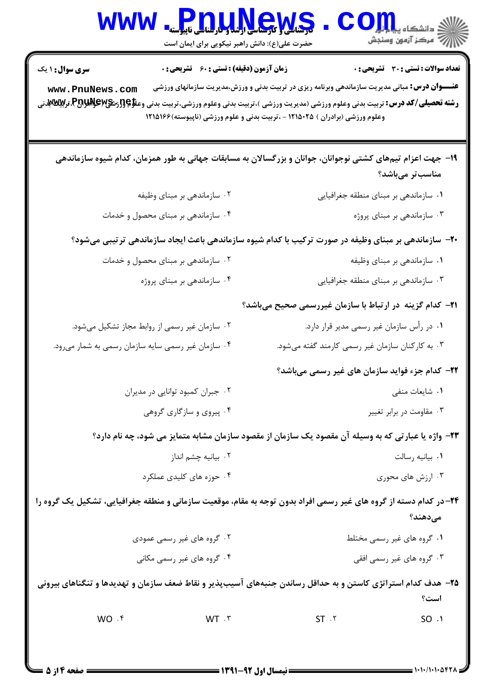| <b>WWW</b>                                                                                                           | <b>ی کار کار کار اور اور استان</b> ناپیوسنه<br>حضرت علی(ع): دانش راهبر نیکویی برای ایمان است |                                                                                                                                                                                       | الاد دانشکاه پیای <mark>ر اور</mark> O<br>الا مرکز آزمون وسنجش |  |
|----------------------------------------------------------------------------------------------------------------------|----------------------------------------------------------------------------------------------|---------------------------------------------------------------------------------------------------------------------------------------------------------------------------------------|----------------------------------------------------------------|--|
| <b>سری سوال : ۱ یک</b><br>www.PnuNews.com                                                                            | <b>زمان آزمون (دقیقه) : تستی : 60 ٪ تشریحی : 0</b>                                           | <b>عنــــوان درس:</b> مبانی مدیریت سازماندهی وبرنامه ریزی در تربیت بدنی و ورزش،مدیریت سازمانهای ورزشی<br>وعلوم ورزشی (برادران ) ۱۲۱۵۰۲۵ - ،تربیت بدنی و علوم ورزشی (ناپیوسته) ۱۲۱۵۱۶۶ | <b>تعداد سوالات : تستی : 30 ٪ تشریحی : 0</b>                   |  |
|                                                                                                                      |                                                                                              | ۱۹– جهت اعزام تیمهای کشتی نوجوانان، جوانان و بزرگسالان به مسابقات جهانی به طور همزمان، کدام شیوه سازماندهی                                                                            | مناسبتر میباشد؟                                                |  |
|                                                                                                                      | ۰۲ سازماندهی بر مبنای وظیفه                                                                  | ۰۱ سازماندهی بر مبنای منطقه جغرافیایی                                                                                                                                                 |                                                                |  |
| ۰۴ سازماندهی بر مبنای محصول و خدمات                                                                                  |                                                                                              | ۰۳ سازماندهی بر مبنای پروژه                                                                                                                                                           |                                                                |  |
| +۲- سازماندهی بر مبنای وظیفه در صورت ترکیب با کدام شیوه سازماندهی باعث ایجاد سازماندهی ترتیبی میشود؟                 |                                                                                              |                                                                                                                                                                                       |                                                                |  |
| ۰۲ سازماندهی بر مبنای محصول و خدمات                                                                                  |                                                                                              | ۰۱ سازماندهی بر مبنای وظیفه                                                                                                                                                           |                                                                |  |
|                                                                                                                      | ۰۴ سازماندهی بر مبنای پروژه                                                                  | ۰۳ سازماندهی بر مبنای منطقه جغرافیایی                                                                                                                                                 |                                                                |  |
|                                                                                                                      |                                                                                              | <b>۲۱</b> – کدام گزینه در ارتباط با سازمان غیررسمی صحیح میباشد؟                                                                                                                       |                                                                |  |
| ۰۲ سازمان غیر رسمی از روابط مجاز تشکیل میشود.                                                                        |                                                                                              | ۰۱ در رأس سازمان غیر رسمی مدیر قرار دارد.                                                                                                                                             |                                                                |  |
| ۰۴ سازمان غیر رسمی سایه سازمان رسمی به شمار میرود.                                                                   |                                                                                              | ۰۳ به کارکنان سازمان غیر رسمی کارمند گفته میشود.                                                                                                                                      |                                                                |  |
|                                                                                                                      |                                                                                              | ۲۲– کدام جزء فواید سازمان های غیر رسمی میباشد؟                                                                                                                                        |                                                                |  |
|                                                                                                                      | ۰۲ جبران کمبود توانایی در مدیران                                                             |                                                                                                                                                                                       | ۰۱ شایعات منفی                                                 |  |
| ۰۴ پیروی و سازگاری گروهی                                                                                             |                                                                                              | ۰۳ مقاومت در برابر تغییر                                                                                                                                                              |                                                                |  |
|                                                                                                                      |                                                                                              | ۲۳- واژه یا عبارتی که به وسیله آن مقصود یک سازمان از مقصود سازمان مشابه متمایز می شود، چه نام دارد؟                                                                                   |                                                                |  |
|                                                                                                                      | ۰۲ بيانيه چشم انداز                                                                          | ٠١. بيانيه رسالت                                                                                                                                                                      |                                                                |  |
| ۰۴ حوزه های کلیدی عملکرد                                                                                             |                                                                                              | ۰۳ ارزش های محوری                                                                                                                                                                     |                                                                |  |
| ۲۴- در کدام دسته از گروه های غیر رسمی افراد بدون توجه به مقام، موقعیت سازمانی و منطقه جغرافیایی، تشکیل یک گروه را    |                                                                                              |                                                                                                                                                                                       | مىدھند؟                                                        |  |
| ۰۲ گروه های غیر رسمی عمودی                                                                                           |                                                                                              | ۰۱ گروه های غیر رسمی مختلط                                                                                                                                                            |                                                                |  |
| ۰۴ گروه های غیر رسمی مکانی                                                                                           |                                                                                              | ۰۳ گروه های غیر رسمی افقی                                                                                                                                                             |                                                                |  |
| ۲۵– هدف کدام استراتژی کاستن و به حداقل رساندن جنبههای آسیبپذیر و نقاط ضعف سازمان و تهدیدها و تنگناهای بیرونی<br>است؟ |                                                                                              |                                                                                                                                                                                       |                                                                |  |
| WO .f                                                                                                                | WT.7                                                                                         | $ST \cdot Y$                                                                                                                                                                          | SO.1                                                           |  |
|                                                                                                                      |                                                                                              |                                                                                                                                                                                       |                                                                |  |